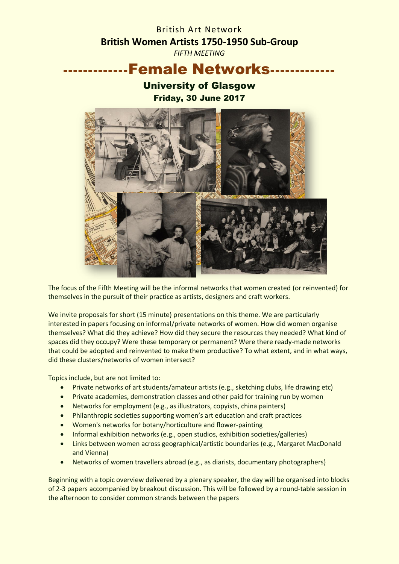# British Art Network **British Women Artists 1750-1950 Sub-Group**

*FIFTH MEETING*

## ----Female Networks--

### University of Glasgow Friday, 30 June 2017



The focus of the Fifth Meeting will be the informal networks that women created (or reinvented) for themselves in the pursuit of their practice as artists, designers and craft workers.

We invite proposals for short (15 minute) presentations on this theme. We are particularly interested in papers focusing on informal/private networks of women. How did women organise themselves? What did they achieve? How did they secure the resources they needed? What kind of spaces did they occupy? Were these temporary or permanent? Were there ready-made networks that could be adopted and reinvented to make them productive? To what extent, and in what ways, did these clusters/networks of women intersect?

Topics include, but are not limited to:

- Private networks of art students/amateur artists (e.g., sketching clubs, life drawing etc)
- Private academies, demonstration classes and other paid for training run by women
- Networks for employment (e.g., as illustrators, copyists, china painters)
- Philanthropic societies supporting women's art education and craft practices
- Women's networks for botany/horticulture and flower-painting
- Informal exhibition networks (e.g., open studios, exhibition societies/galleries)
- Links between women across geographical/artistic boundaries (e.g., Margaret MacDonald and Vienna)
- Networks of women travellers abroad (e.g., as diarists, documentary photographers)

Beginning with a topic overview delivered by a plenary speaker, the day will be organised into blocks of 2-3 papers accompanied by breakout discussion. This will be followed by a round-table session in the afternoon to consider common strands between the papers